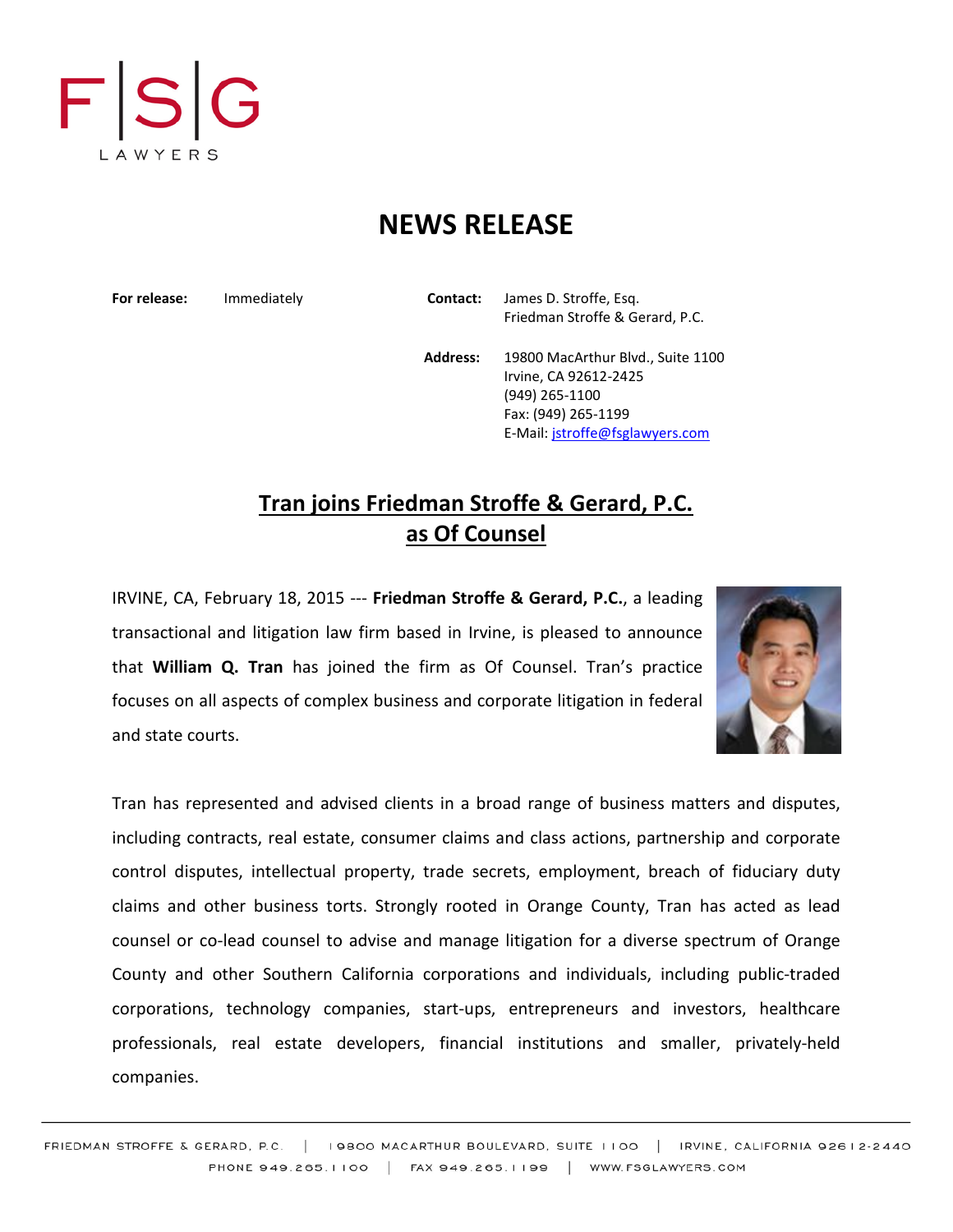

## **NEWS RELEASE**

**For release:** Immediately **Contact:** James D. Stroffe, Esq. Friedman Stroffe & Gerard, P.C.

> **Address:** 19800 MacArthur Blvd., Suite 1100 Irvine, CA 92612-2425 (949) 265-1100 Fax: (949) 265-1199 E-Mail: [jstroffe@fsglawyers.com](mailto:jstroffe@fsglawyers.com)

## **Tran joins Friedman Stroffe & Gerard, P.C. as Of Counsel**

IRVINE, CA, February 18, 2015 --- **Friedman Stroffe & Gerard, P.C.**, a leading transactional and litigation law firm based in Irvine, is pleased to announce that **William Q. Tran** has joined the firm as Of Counsel. Tran's practice focuses on all aspects of complex business and corporate litigation in federal and state courts.



Tran has represented and advised clients in a broad range of business matters and disputes, including contracts, real estate, consumer claims and class actions, partnership and corporate control disputes, intellectual property, trade secrets, employment, breach of fiduciary duty claims and other business torts. Strongly rooted in Orange County, Tran has acted as lead counsel or co-lead counsel to advise and manage litigation for a diverse spectrum of Orange County and other Southern California corporations and individuals, including public-traded corporations, technology companies, start-ups, entrepreneurs and investors, healthcare professionals, real estate developers, financial institutions and smaller, privately-held companies.